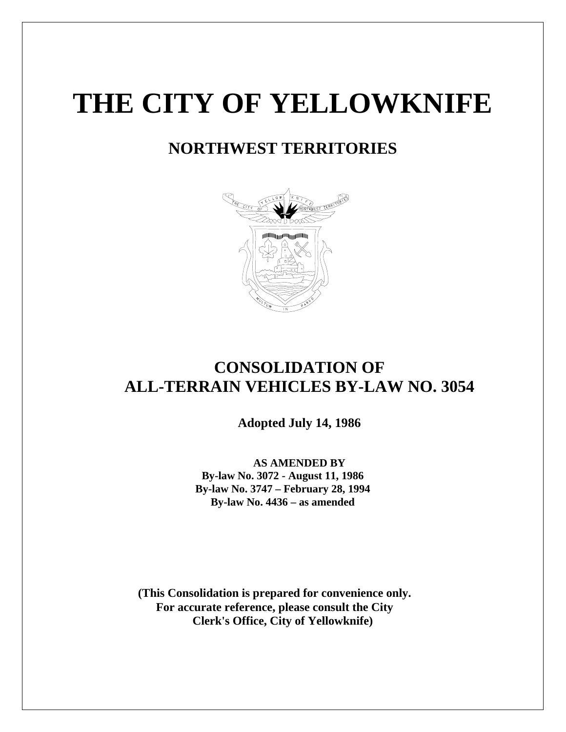# **THE CITY OF YELLOWKNIFE**

# **NORTHWEST TERRITORIES**



# **CONSOLIDATION OF ALL-TERRAIN VEHICLES BY-LAW NO. 3054**

 **Adopted July 14, 1986**

 **AS AMENDED BY By-law No. 3072 - August 11, 1986 By-law No. 3747 – February 28, 1994 By-law No. 4436 – as amended** 

**(This Consolidation is prepared for convenience only. For accurate reference, please consult the City Clerk's Office, City of Yellowknife)**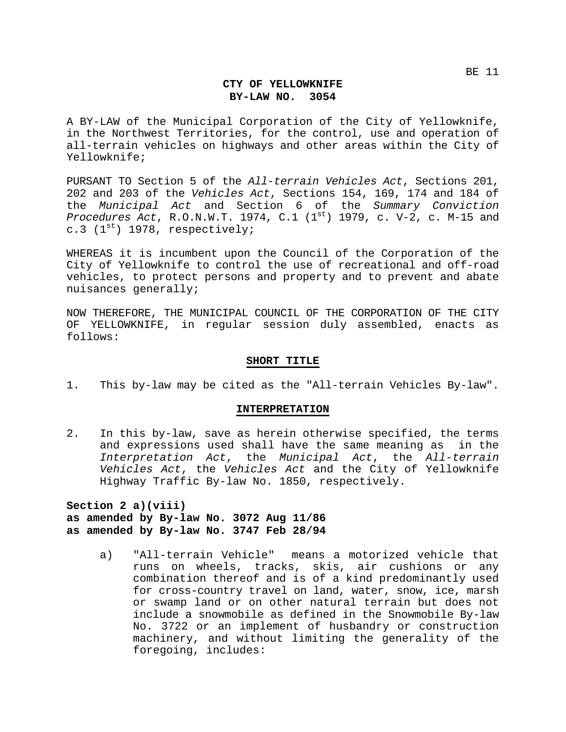A BY-LAW of the Municipal Corporation of the City of Yellowknife, in the Northwest Territories, for the control, use and operation of all-terrain vehicles on highways and other areas within the City of Yellowknife;

PURSANT TO Section 5 of the *All-terrain Vehicles Act*, Sections 201, 202 and 203 of the *Vehicles Act*, Sections 154, 169, 174 and 184 of the *Municipal Act* and Section 6 of the *Summary Conviction Procedures Act*, R.O.N.W.T. 1974, C.1 (1st) 1979, c. V-2, c. M-15 and c.3  $(1^{st})$  1978, respectively;

WHEREAS it is incumbent upon the Council of the Corporation of the City of Yellowknife to control the use of recreational and off-road vehicles, to protect persons and property and to prevent and abate nuisances generally;

NOW THEREFORE, THE MUNICIPAL COUNCIL OF THE CORPORATION OF THE CITY OF YELLOWKNIFE, in regular session duly assembled, enacts as follows:

#### **SHORT TITLE**

1. This by-law may be cited as the "All-terrain Vehicles By-law".

#### **INTERPRETATION**

2. In this by-law, save as herein otherwise specified, the terms and expressions used shall have the same meaning as in the *Interpretation Act*, the *Municipal Act*, the *All-terrain Vehicles Act*, the *Vehicles Act* and the City of Yellowknife Highway Traffic By-law No. 1850, respectively.

**Section 2 a)(viii) as amended by By-law No. 3072 Aug 11/86 as amended by By-law No. 3747 Feb 28/94**

> a) "All-terrain Vehicle" means a motorized vehicle that runs on wheels, tracks, skis, air cushions or any combination thereof and is of a kind predominantly used for cross-country travel on land, water, snow, ice, marsh or swamp land or on other natural terrain but does not include a snowmobile as defined in the Snowmobile By-law No. 3722 or an implement of husbandry or construction machinery, and without limiting the generality of the foregoing, includes: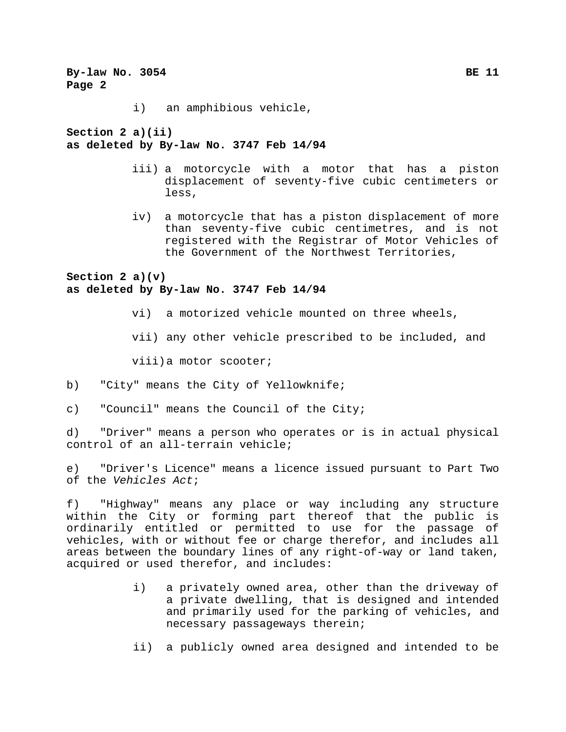**By-law No. 3054 BE 11 Page 2**  i) an amphibious vehicle, **Section 2 a)(ii) as deleted by By-law No. 3747 Feb 14/94** iii) a motorcycle with a motor that has a piston displacement of seventy-five cubic centimeters or less, iv) a motorcycle that has a piston displacement of more than seventy-five cubic centimetres, and is not registered with the Registrar of Motor Vehicles of the Government of the Northwest Territories, **Section 2 a)(v) as deleted by By-law No. 3747 Feb 14/94** vi) a motorized vehicle mounted on three wheels, vii) any other vehicle prescribed to be included, and viii)a motor scooter; b) "City" means the City of Yellowknife; c) "Council" means the Council of the City; d) "Driver" means a person who operates or is in actual physical control of an all-terrain vehicle; e) "Driver's Licence" means a licence issued pursuant to Part Two of the *Vehicles Act*; f) "Highway" means any place or way including any structure within the City or forming part thereof that the public is ordinarily entitled or permitted to use for the passage of

vehicles, with or without fee or charge therefor, and includes all areas between the boundary lines of any right-of-way or land taken, acquired or used therefor, and includes:

- i) a privately owned area, other than the driveway of a private dwelling, that is designed and intended and primarily used for the parking of vehicles, and necessary passageways therein;
- ii) a publicly owned area designed and intended to be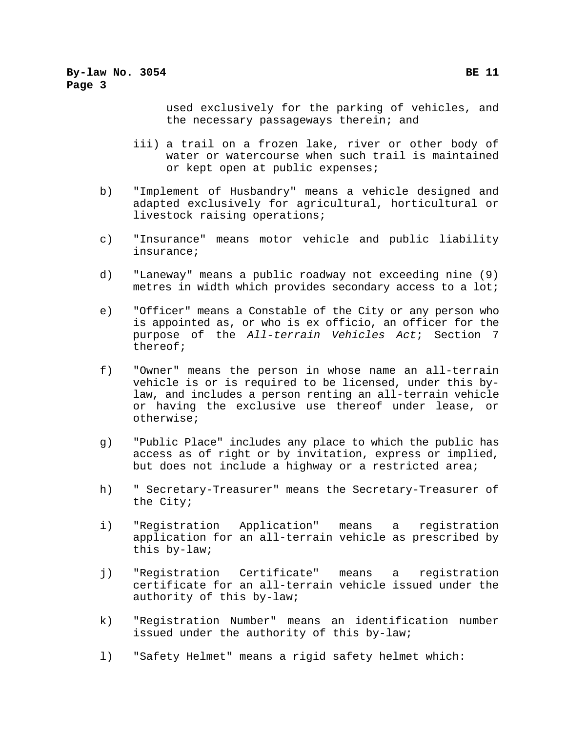used exclusively for the parking of vehicles, and the necessary passageways therein; and

- iii) a trail on a frozen lake, river or other body of water or watercourse when such trail is maintained or kept open at public expenses;
- b) "Implement of Husbandry" means a vehicle designed and adapted exclusively for agricultural, horticultural or livestock raising operations;
- c) "Insurance" means motor vehicle and public liability insurance;
- d) "Laneway" means a public roadway not exceeding nine (9) metres in width which provides secondary access to a lot;
- e) "Officer" means a Constable of the City or any person who is appointed as, or who is ex officio, an officer for the purpose of the *All-terrain Vehicles Act*; Section 7 thereof;
- f) "Owner" means the person in whose name an all-terrain vehicle is or is required to be licensed, under this bylaw, and includes a person renting an all-terrain vehicle or having the exclusive use thereof under lease, or otherwise;
- g) "Public Place" includes any place to which the public has access as of right or by invitation, express or implied, but does not include a highway or a restricted area;
- h) " Secretary-Treasurer" means the Secretary-Treasurer of the City;
- i) "Registration Application" means a registration application for an all-terrain vehicle as prescribed by this by-law;
- j) "Registration Certificate" means a registration certificate for an all-terrain vehicle issued under the authority of this by-law;
- k) "Registration Number" means an identification number issued under the authority of this by-law;
- l) "Safety Helmet" means a rigid safety helmet which: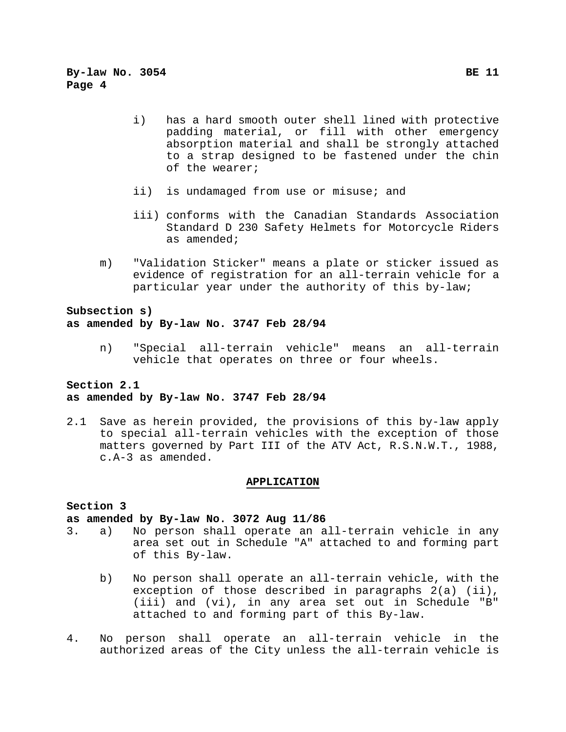- i) has a hard smooth outer shell lined with protective padding material, or fill with other emergency absorption material and shall be strongly attached to a strap designed to be fastened under the chin of the wearer;
- ii) is undamaged from use or misuse; and
- iii) conforms with the Canadian Standards Association Standard D 230 Safety Helmets for Motorcycle Riders as amended;
- m) "Validation Sticker" means a plate or sticker issued as evidence of registration for an all-terrain vehicle for a particular year under the authority of this by-law;

# **Subsection s) as amended by By-law No. 3747 Feb 28/94**

n) "Special all-terrain vehicle" means an all-terrain vehicle that operates on three or four wheels.

# **Section 2.1 as amended by By-law No. 3747 Feb 28/94**

2.1 Save as herein provided, the provisions of this by-law apply to special all-terrain vehicles with the exception of those matters governed by Part III of the ATV Act, R.S.N.W.T., 1988, c.A-3 as amended.

#### **APPLICATION**

#### **Section 3**

### **as amended by By-law No. 3072 Aug 11/86**

- 3. a) No person shall operate an all-terrain vehicle in any area set out in Schedule "A" attached to and forming part of this By-law.
	- b) No person shall operate an all-terrain vehicle, with the exception of those described in paragraphs 2(a) (ii), (iii) and (vi), in any area set out in Schedule "B" attached to and forming part of this By-law.
- 4. No person shall operate an all-terrain vehicle in the authorized areas of the City unless the all-terrain vehicle is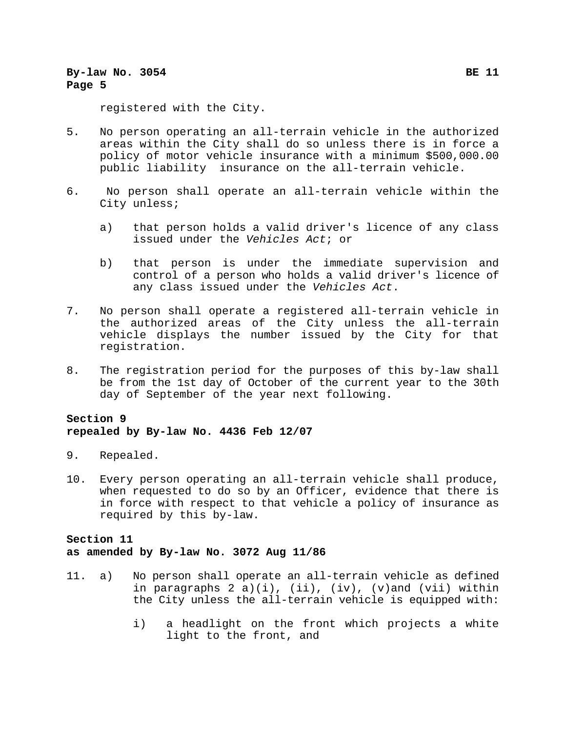# **By-law No. 3054 By-law No. 3054 Page 5**

registered with the City.

- 5. No person operating an all-terrain vehicle in the authorized areas within the City shall do so unless there is in force a policy of motor vehicle insurance with a minimum \$500,000.00 public liability insurance on the all-terrain vehicle.
- 6. No person shall operate an all-terrain vehicle within the City unless;
	- a) that person holds a valid driver's licence of any class issued under the *Vehicles Act*; or
	- b) that person is under the immediate supervision and control of a person who holds a valid driver's licence of any class issued under the *Vehicles Act*.
- 7. No person shall operate a registered all-terrain vehicle in the authorized areas of the City unless the all-terrain vehicle displays the number issued by the City for that registration.
- 8. The registration period for the purposes of this by-law shall be from the 1st day of October of the current year to the 30th day of September of the year next following.

# **Section 9 repealed by By-law No. 4436 Feb 12/07**

- 9. Repealed.
- 10. Every person operating an all-terrain vehicle shall produce, when requested to do so by an Officer, evidence that there is in force with respect to that vehicle a policy of insurance as required by this by-law.

# **Section 11 as amended by By-law No. 3072 Aug 11/86**

- 11. a) No person shall operate an all-terrain vehicle as defined in paragraphs  $2 a)(i)$ ,  $(ii)$ ,  $(iv)$ ,  $(v)$  and  $(vii)$  within the City unless the all-terrain vehicle is equipped with:
	- i) a headlight on the front which projects a white light to the front, and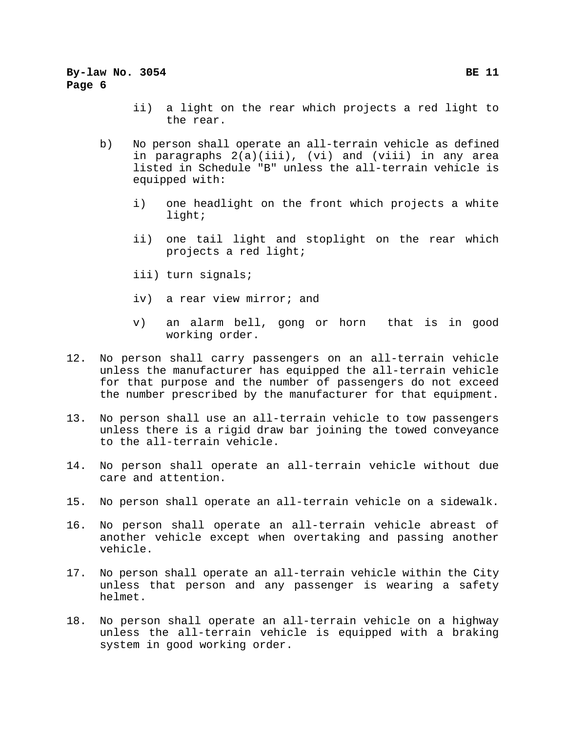# **By-law No. 3054 BE 11 Page 6**

- ii) a light on the rear which projects a red light to the rear.
- b) No person shall operate an all-terrain vehicle as defined in paragraphs 2(a)(iii), (vi) and (viii) in any area listed in Schedule "B" unless the all-terrain vehicle is equipped with:
	- i) one headlight on the front which projects a white light;
	- ii) one tail light and stoplight on the rear which projects a red light;
	- iii) turn signals;
	- iv) a rear view mirror; and
	- v) an alarm bell, gong or horn that is in good working order.
- 12. No person shall carry passengers on an all-terrain vehicle unless the manufacturer has equipped the all-terrain vehicle for that purpose and the number of passengers do not exceed the number prescribed by the manufacturer for that equipment.
- 13. No person shall use an all-terrain vehicle to tow passengers unless there is a rigid draw bar joining the towed conveyance to the all-terrain vehicle.
- 14. No person shall operate an all-terrain vehicle without due care and attention.
- 15. No person shall operate an all-terrain vehicle on a sidewalk.
- 16. No person shall operate an all-terrain vehicle abreast of another vehicle except when overtaking and passing another vehicle.
- 17. No person shall operate an all-terrain vehicle within the City unless that person and any passenger is wearing a safety helmet.
- 18. No person shall operate an all-terrain vehicle on a highway unless the all-terrain vehicle is equipped with a braking system in good working order.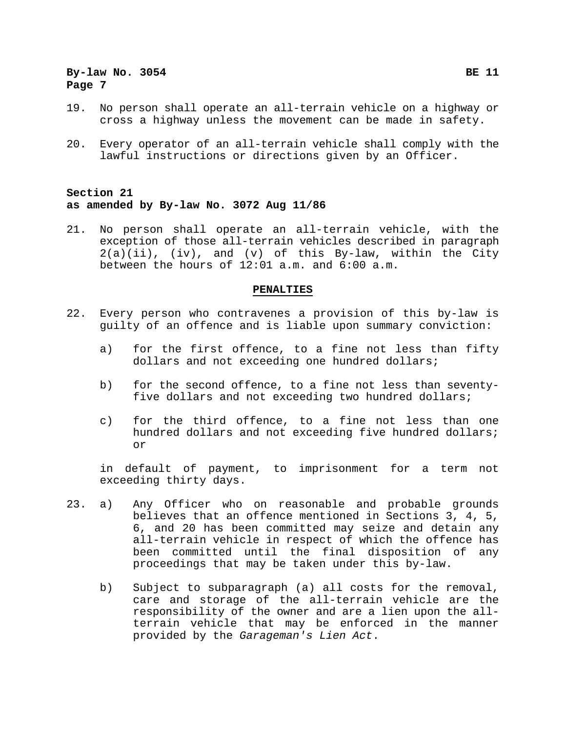- 19. No person shall operate an all-terrain vehicle on a highway or cross a highway unless the movement can be made in safety.
- 20. Every operator of an all-terrain vehicle shall comply with the lawful instructions or directions given by an Officer.

# **Section 21 as amended by By-law No. 3072 Aug 11/86**

21. No person shall operate an all-terrain vehicle, with the exception of those all-terrain vehicles described in paragraph  $2(a)(ii)$ , (iv), and (v) of this By-law, within the City between the hours of 12:01 a.m. and 6:00 a.m.

#### **PENALTIES**

- 22. Every person who contravenes a provision of this by-law is guilty of an offence and is liable upon summary conviction:
	- a) for the first offence, to a fine not less than fifty dollars and not exceeding one hundred dollars;
	- b) for the second offence, to a fine not less than seventyfive dollars and not exceeding two hundred dollars;
	- c) for the third offence, to a fine not less than one hundred dollars and not exceeding five hundred dollars; or

in default of payment, to imprisonment for a term not exceeding thirty days.

- 23. a) Any Officer who on reasonable and probable grounds believes that an offence mentioned in Sections 3, 4, 5, 6, and 20 has been committed may seize and detain any all-terrain vehicle in respect of which the offence has been committed until the final disposition of any proceedings that may be taken under this by-law.
	- b) Subject to subparagraph (a) all costs for the removal, care and storage of the all-terrain vehicle are the responsibility of the owner and are a lien upon the allterrain vehicle that may be enforced in the manner provided by the *Garageman's Lien Act*.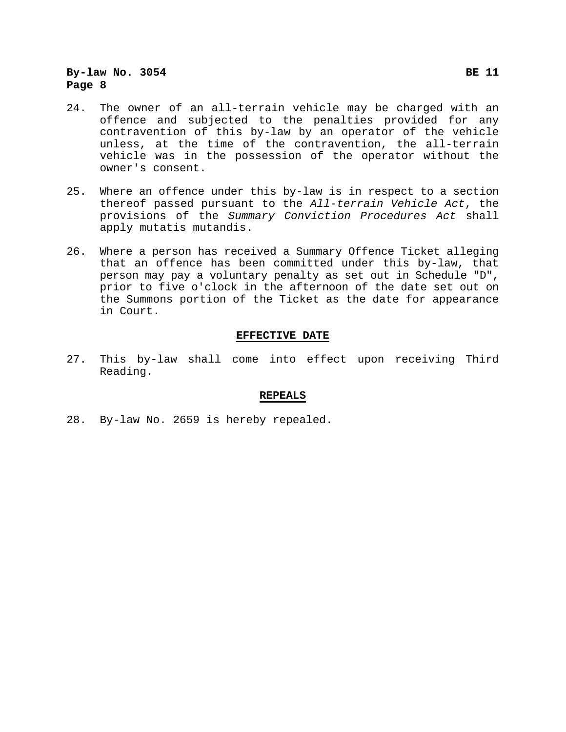# **By-law No. 3054 BE 11 Page 8**

- 24. The owner of an all-terrain vehicle may be charged with an offence and subjected to the penalties provided for any contravention of this by-law by an operator of the vehicle unless, at the time of the contravention, the all-terrain vehicle was in the possession of the operator without the owner's consent.
- 25. Where an offence under this by-law is in respect to a section thereof passed pursuant to the *All-terrain Vehicle Act*, the provisions of the *Summary Conviction Procedures Act* shall apply mutatis mutandis.
- 26. Where a person has received a Summary Offence Ticket alleging that an offence has been committed under this by-law, that person may pay a voluntary penalty as set out in Schedule "D", prior to five o'clock in the afternoon of the date set out on the Summons portion of the Ticket as the date for appearance in Court.

#### **EFFECTIVE DATE**

27. This by-law shall come into effect upon receiving Third Reading.

#### **REPEALS**

28. By-law No. 2659 is hereby repealed.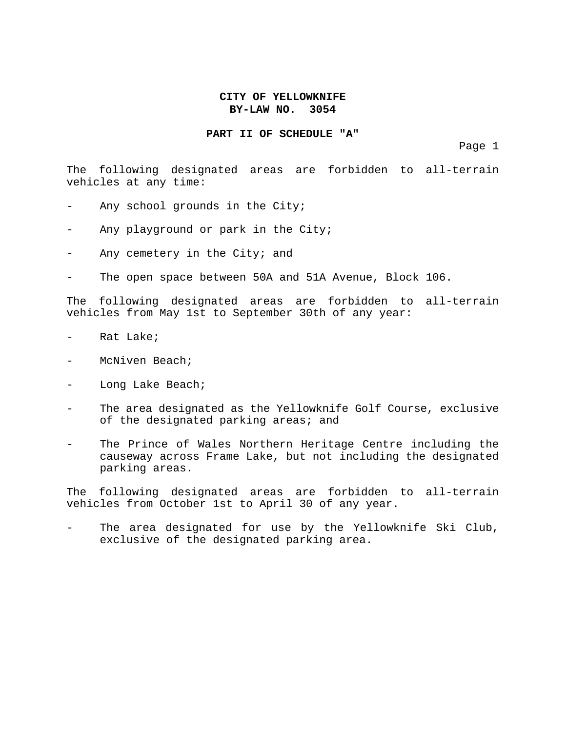#### **PART II OF SCHEDULE "A"**

Page 1

The following designated areas are forbidden to all-terrain vehicles at any time:

- Any school grounds in the City;
- Any playground or park in the City;
- Any cemetery in the City; and
- The open space between 50A and 51A Avenue, Block 106.

The following designated areas are forbidden to all-terrain vehicles from May 1st to September 30th of any year:

- Rat Lake;
- McNiven Beach;
- Long Lake Beach;
- The area designated as the Yellowknife Golf Course, exclusive of the designated parking areas; and
- The Prince of Wales Northern Heritage Centre including the causeway across Frame Lake, but not including the designated parking areas.

The following designated areas are forbidden to all-terrain vehicles from October 1st to April 30 of any year.

The area designated for use by the Yellowknife Ski Club, exclusive of the designated parking area.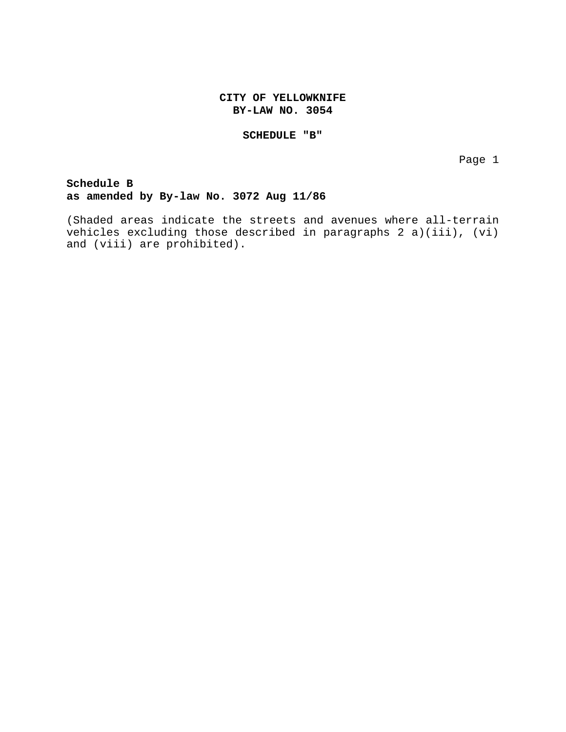#### **SCHEDULE "B"**

Page 1

**Schedule B as amended by By-law No. 3072 Aug 11/86**

(Shaded areas indicate the streets and avenues where all-terrain vehicles excluding those described in paragraphs 2 a)(iii), (vi) and (viii) are prohibited).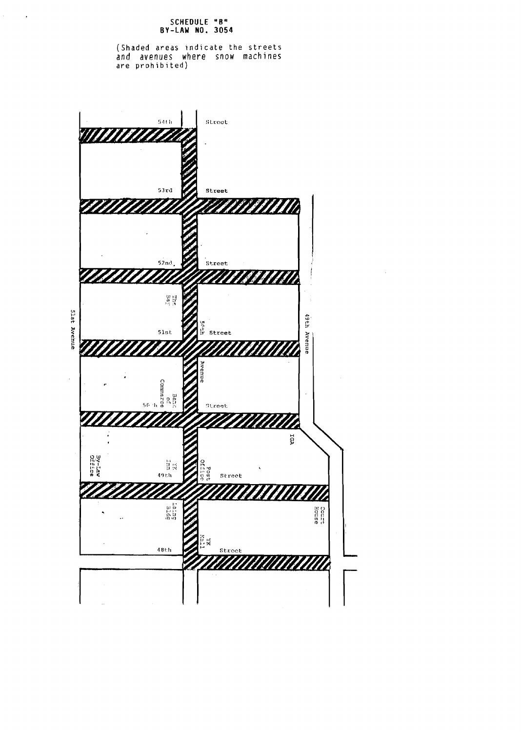#### **SCHEDULE "R" BY-LAW NO. 3054**

 $\mathcal{L}^{(1)}$  $\sim 10^7$ 

> (Shaded areas indicate the streets and avenues where snow machines are prohibited)



 $\mathcal{A}$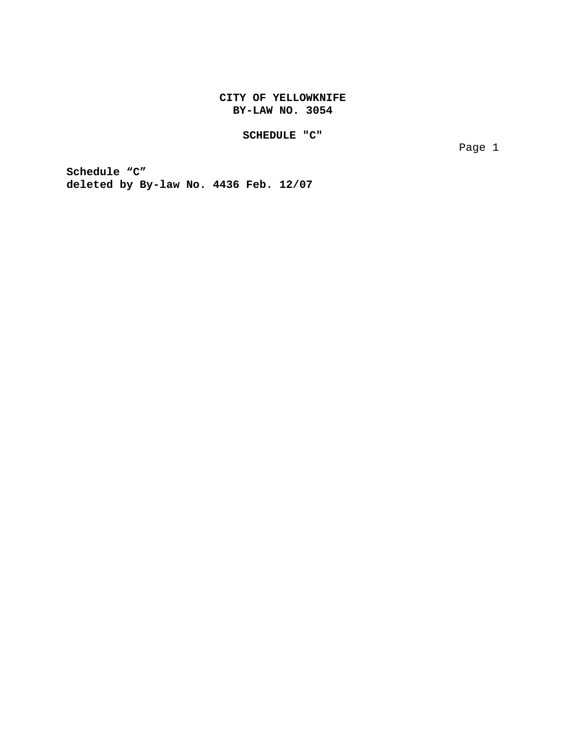# **SCHEDULE "C"**

Page 1

**Schedule "C" deleted by By-law No. 4436 Feb. 12/07**